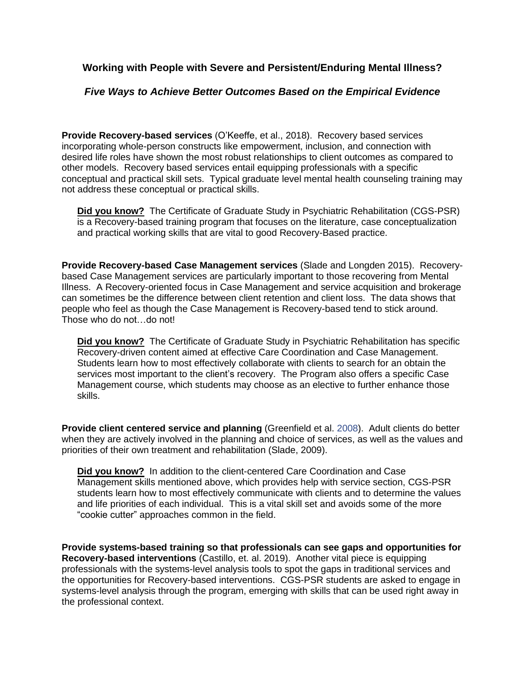**Working with People with Severe and Persistent/Enduring Mental Illness?**

## *Five Ways to Achieve Better Outcomes Based on the Empirical Evidence*

**Provide Recovery-based services** (O'Keeffe, et al., 2018). Recovery based services incorporating whole-person constructs like empowerment, inclusion, and connection with desired life roles have shown the most robust relationships to client outcomes as compared to other models. Recovery based services entail equipping professionals with a specific conceptual and practical skill sets. Typical graduate level mental health counseling training may not address these conceptual or practical skills.

**Did you know?** The Certificate of Graduate Study in Psychiatric Rehabilitation (CGS-PSR) is a Recovery-based training program that focuses on the literature, case conceptualization and practical working skills that are vital to good Recovery-Based practice.

**Provide Recovery-based Case Management services** (Slade and Longden 2015). Recoverybased Case Management services are particularly important to those recovering from Mental Illness. A Recovery-oriented focus in Case Management and service acquisition and brokerage can sometimes be the difference between client retention and client loss. The data shows that people who feel as though the Case Management is Recovery-based tend to stick around. Those who do not …do not!

**Did you know?** The Certificate of Graduate Study in Psychiatric Rehabilitation has specific Recovery-driven content aimed at effective Care Coordination and Case Management. Students learn how to most effectively collaborate with clients to search for an obtain the services most important to the client's recovery. The Program also offers a specific Case Management course, which students may choose as an elective to further enhance those skills.

**Provide client centered service and planning** (Greenfield et al. 2008). Adult clients do better when they are actively involved in the planning and choice of services, as well as the values and priorities of their own treatment and rehabilitation (Slade, 2009).

**Did you know?** In addition to the client-centered Care Coordination and Case Management skills mentioned above, which provides help with service section, CGS-PSR students learn how to most effectively communicate with clients and to determine the values and life priorities of each individual. This is a vital skill set and avoids some of the more "cookie cutter" approaches common in the field.

**Provide systems-based training so that professionals can see gaps and opportunities for Recovery-based interventions** (Castillo, et. al. 2019). Another vital piece is equipping professionals with the systems-level analysis tools to spot the gaps in traditional services and the opportunities for Recovery-based interventions. CGS-PSR students are asked to engage in systems-level analysis through the program, emerging with skills that can be used right away in the professional context.